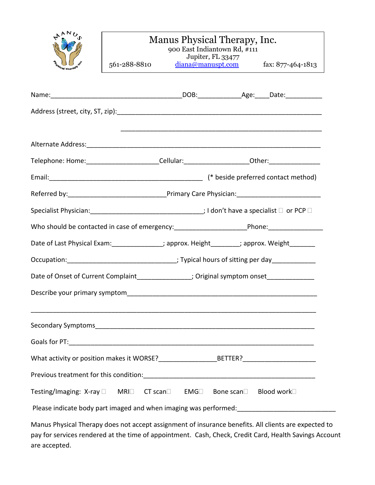| ΝŁ                 | l.                         |
|--------------------|----------------------------|
|                    |                            |
|                    |                            |
| <b>DATE</b><br>لای | $\boldsymbol{\mathcal{S}}$ |
|                    |                            |

## Manus Physical Therapy, Inc.

| <b>STARS</b><br><b>Malcal Thereway</b>                                                                    | 561-288-8810                                                                                   |  | 900 East Indiantown Rd, #111<br>Jupiter, FL 33477 | $\frac{\text{diana}\textcircled{mannuspt.com}}{\text{dix: }877-464-1813}$ |
|-----------------------------------------------------------------------------------------------------------|------------------------------------------------------------------------------------------------|--|---------------------------------------------------|---------------------------------------------------------------------------|
|                                                                                                           |                                                                                                |  |                                                   |                                                                           |
|                                                                                                           |                                                                                                |  |                                                   |                                                                           |
|                                                                                                           |                                                                                                |  |                                                   |                                                                           |
|                                                                                                           |                                                                                                |  |                                                   |                                                                           |
|                                                                                                           |                                                                                                |  |                                                   |                                                                           |
| Telephone: Home: __________________________Cellular: ___________________________0ther: __________________ |                                                                                                |  |                                                   |                                                                           |
|                                                                                                           |                                                                                                |  |                                                   |                                                                           |
|                                                                                                           |                                                                                                |  |                                                   |                                                                           |
|                                                                                                           |                                                                                                |  |                                                   |                                                                           |
|                                                                                                           |                                                                                                |  |                                                   |                                                                           |
| Date of Last Physical Exam: ______________; approx. Height________; approx. Weight________                |                                                                                                |  |                                                   |                                                                           |
|                                                                                                           | Occupation: _________________________________; Typical hours of sitting per day ______________ |  |                                                   |                                                                           |
|                                                                                                           | Date of Onset of Current Complaint______________; Original symptom onset_____________          |  |                                                   |                                                                           |
| Describe your primary symptom                                                                             |                                                                                                |  |                                                   |                                                                           |

Secondary Symptoms\_\_\_\_\_\_\_\_\_\_\_\_\_\_\_\_\_\_\_\_\_\_\_\_\_\_\_\_\_\_\_\_\_\_\_\_\_\_\_\_\_\_\_\_\_\_\_\_\_\_\_\_\_\_\_\_\_\_\_\_ Goals for PT:\_\_\_\_\_\_\_\_\_\_\_\_\_\_\_\_\_\_\_\_\_\_\_\_\_\_\_\_\_\_\_\_\_\_\_\_\_\_\_\_\_\_\_\_\_\_\_\_\_\_\_\_\_\_\_\_\_\_\_\_\_\_\_\_\_\_\_ What activity or position makes it WORSE?\_\_\_\_\_\_\_\_\_\_\_\_\_\_\_\_\_\_\_\_\_BETTER?\_\_\_\_\_\_\_\_\_\_\_\_\_\_\_\_\_\_ Previous treatment for this condition:\_\_\_\_\_\_\_\_\_\_\_\_\_\_\_\_\_\_\_\_\_\_\_\_\_\_\_\_\_\_\_\_\_\_\_\_\_\_\_\_\_\_\_\_\_\_\_ Testing/Imaging: X-ray  $\square$  MRI $\square$  CT scan EMG Bone scan Blood work  $\square$ 

\_\_\_\_\_\_\_\_\_\_\_\_\_\_\_\_\_\_\_\_\_\_\_\_\_\_\_\_\_\_\_\_\_\_\_\_\_\_\_\_\_\_\_\_\_\_\_\_\_\_\_\_\_\_\_\_\_\_\_\_\_\_\_\_\_\_\_\_\_\_\_\_\_\_\_\_\_\_

Please indicate body part imaged and when imaging was performed: \_\_\_\_\_\_\_\_\_\_\_\_\_\_\_\_\_\_\_\_\_\_

Manus Physical Therapy does not accept assignment of insurance benefits. All clients are expected to pay for services rendered at the time of appointment. Cash, Check, Credit Card, Health Savings Account are accepted.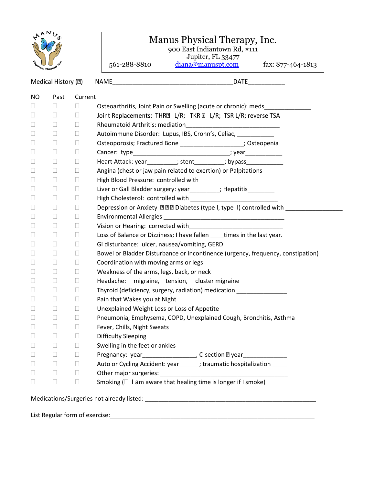

## Manus Physical Therapy, Inc.

900 East Indiantown Rd, #111

Jupiter, FL 33477

561-288-8810 [diana@manuspt.com](mailto:diana@manuspt.com) fax: 877-464-1813

NAME DATE Medical History (2) NO Past Current Osteoarthritis, Joint Pain or Swelling (acute or chronic): meds\_\_\_\_\_\_\_\_\_\_\_\_\_\_\_\_\_  $\begin{array}{ccccccccccccc} \Box & \Box & \Box & \Box & \Box \end{array}$ Joint Replacements: THR<sup>I</sup> L/R; TKR I L/R; TSR L/R; reverse TSA  $\Box$   $\Box$  Rheumatoid Arthritis: mediation □ □ □ Autoimmune Disorder: Lupus, IBS, Crohn's, Celiac, \_\_\_\_\_\_\_\_  $\Box \qquad \Box \qquad \Box \qquad \text{Osteoporosis; Fractured Bone} \underline{\qquad \qquad \qquad \qquad \qquad \qquad \qquad \qquad \qquad \qquad \qquad \qquad \qquad \Box \qquad \text{Osteopenia}}$  Cancer: type\_\_\_\_\_\_\_\_\_\_\_\_\_\_\_\_\_\_\_\_\_\_\_\_\_\_\_\_\_; year\_\_\_\_\_\_\_\_\_\_\_  $\Box$   $\Box$  Heart Attack: year\_\_\_\_\_\_\_\_; stent\_\_\_\_\_\_\_\_; bypass\_\_\_\_\_\_\_\_\_\_\_\_  $\square$   $\square$  Angina (chest or jaw pain related to exertion) or Palpitations  $\Box$   $\Box$  High Blood Pressure: controlled with  $\Box$  $\Box$   $\Box$  Liver or Gall Bladder surgery: year\_\_\_\_\_\_\_\_; Hepatitis\_\_\_\_\_\_\_\_\_\_  $\Box$   $\Box$  High Cholesterol: controlled with  $\Box$   $\Box$   $\Box$ Depression or Anxiety 团团团 Diabetes (type I, type II) controlled with  $\square$   $\square$   $\square$  Environmental Allergies  $\Box$   $\Box$  Vision or Hearing: corrected with □ □ □ Loss of Balance or Dizziness; I have fallen \_\_\_\_times in the last year.  $\square$   $\square$   $\square$  GI disturbance: ulcer, nausea/vomiting, GERD  $\square$   $\square$  Bowel or Bladder Disturbance or Incontinence (urgency, frequency, constipation)  $\square$   $\square$   $\square$  Coordination with moving arms or legs □ □ □ Weakness of the arms, legs, back, or neck  $\square$   $\square$   $\square$  Headache: migraine, tension, cluster migraine  $\Box$   $\Box$  Thyroid (deficiency, surgery, radiation) medication □ □ Pain that Wakes you at Night □ □ □ Unexplained Weight Loss or Loss of Appetite □ □ Pneumonia, Emphysema, COPD, Unexplained Cough, Bronchitis, Asthma **Example 20** Fever, Chills, Night Sweats Difficulty Sleeping  $\Box$   $\Box$  Swelling in the feet or ankles  $\Box \qquad \Box \qquad \Box \qquad \text{Pregnancy: year}\_ \qquad \qquad \Box \qquad \text{C-section $\mathbb{B}$ year}\_ \qquad \qquad \Box$  $\Box$   $\Box$  Auto or Cycling Accident: year \_\_\_\_\_; traumatic hospitalization  $\Box$   $\Box$   $\Box$  Other major surgeries:  $\square$   $\square$  Smoking ( $\square$  I am aware that healing time is longer if I smoke) Medications/Surgeries not already listed: \_\_\_\_\_\_\_\_\_\_\_\_\_\_\_\_\_\_\_\_\_\_\_\_\_\_\_\_\_\_\_\_\_\_\_\_\_\_\_\_\_\_\_\_\_\_\_\_\_\_\_

List Regular form of exercise:\_\_\_\_\_\_\_\_\_\_\_\_\_\_\_\_\_\_\_\_\_\_\_\_\_\_\_\_\_\_\_\_\_\_\_\_\_\_\_\_\_\_\_\_\_\_\_\_\_\_\_\_\_\_\_\_\_\_\_\_\_